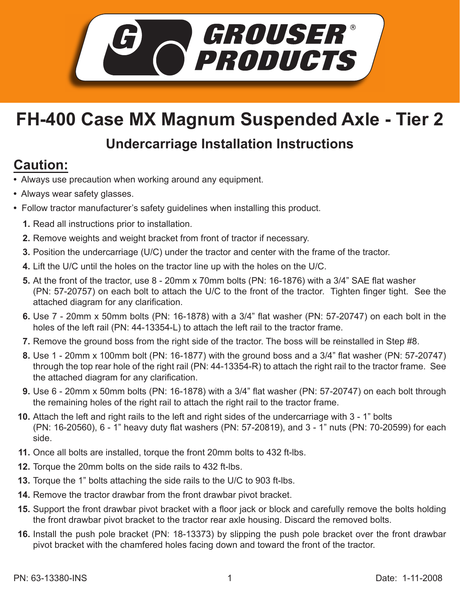

## **FH-400 Case MX Magnum Suspended Axle - Tier 2**

## **Undercarriage Installation Instructions**

## **Caution:**

- Always use precaution when working around any equipment.
- Always wear safety glasses.
- Follow tractor manufacturer's safety guidelines when installing this product.
	- **1.** Read all instructions prior to installation.
	- 2. Remove weights and weight bracket from front of tractor if necessary.
	- **3.** Position the undercarriage (U/C) under the tractor and center with the frame of the tractor.
	- Lift the U/C until the holes on the tractor line up with the holes on the U/C. **4.**
	- **5.** At the front of the tractor, use 8 20mm x 70mm bolts (PN: 16-1876) with a 3/4" SAE flat washer (PN: 57-20757) on each bolt to attach the U/C to the front of the tractor. Tighten finger tight. See the attached diagram for any clarification.
	- 6. Use 7 20mm x 50mm bolts (PN: 16-1878) with a 3/4" flat washer (PN: 57-20747) on each bolt in the holes of the left rail (PN: 44-13354-L) to attach the left rail to the tractor frame.
	- **7.** Remove the ground boss from the right side of the tractor. The boss will be reinstalled in Step #8.
	- 8. Use 1 20mm x 100mm bolt (PN: 16-1877) with the ground boss and a 3/4" flat washer (PN: 57-20747) through the top rear hole of the right rail (PN: 44-13354-R) to attach the right rail to the tractor frame. See the attached diagram for any clarification.
	- 9. Use 6 20mm x 50mm bolts (PN: 16-1878) with a 3/4" flat washer (PN: 57-20747) on each bolt through the remaining holes of the right rail to attach the right rail to the tractor frame.
	- **10.** Attach the left and right rails to the left and right sides of the undercarriage with 3 1" bolts (PN: 16-20560), 6 - 1" heavy duty flat washers (PN: 57-20819), and 3 - 1" nuts (PN: 70-20599) for each side.
	- 11. Once all bolts are installed, torque the front 20mm bolts to 432 ft-lbs.
	- **12.** Torque the 20mm bolts on the side rails to 432 ft-lbs.
- **13.** Torque the 1" bolts attaching the side rails to the U/C to 903 ft-lbs.
- **14.** Remove the tractor drawbar from the front drawbar pivot bracket.
- **15.** Support the front drawbar pivot bracket with a floor jack or block and carefully remove the bolts holding the front drawbar pivot bracket to the tractor rear axle housing. Discard the removed bolts.
- **16.** Install the push pole bracket (PN: 18-13373) by slipping the push pole bracket over the front drawbar pivot bracket with the chamfered holes facing down and toward the front of the tractor.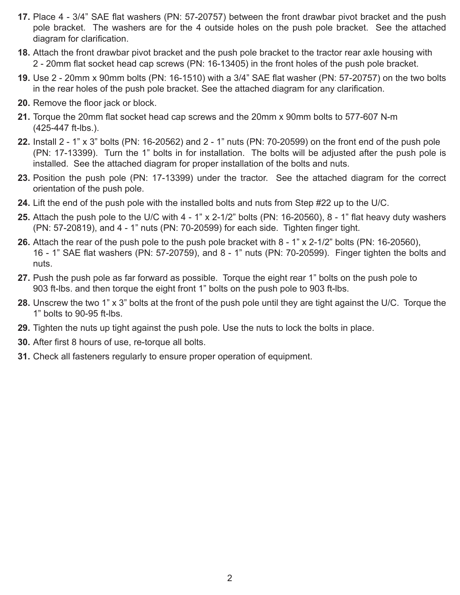- **17.** Place 4 3/4" SAE flat washers (PN: 57-20757) between the front drawbar pivot bracket and the push pole bracket. The washers are for the 4 outside holes on the push pole bracket. See the attached diagram for clarification.
- Attach the front drawbar pivot bracket and the push pole bracket to the tractor rear axle housing with **18.** 2 - 20mm flat socket head cap screws (PN: 16-13405) in the front holes of the push pole bracket.
- Use 2 20mm x 90mm bolts (PN: 16-1510) with a 3/4" SAE flat washer (PN: 57-20757) on the two bolts **19.** in the rear holes of the push pole bracket. See the attached diagram for any clarification.
- **20.** Remove the floor jack or block.
- **21.** Torque the 20mm flat socket head cap screws and the 20mm x 90mm bolts to 577-607 N-m (425-447 ft-lbs.).
- Install 2 1" x 3" bolts (PN: 16-20562) and 2 1" nuts (PN: 70-20599) on the front end of the push pole **22.** (PN: 17-13399). Turn the 1" bolts in for installation. The bolts will be adjusted after the push pole is installed. See the attached diagram for proper installation of the bolts and nuts.
- **23.** Position the push pole (PN: 17-13399) under the tractor. See the attached diagram for the correct orientation of the push pole.
- **24.** Lift the end of the push pole with the installed bolts and nuts from Step #22 up to the U/C.
- **25.** Attach the push pole to the U/C with 4 1" x 2-1/2" bolts (PN: 16-20560), 8 1" flat heavy duty washers (PN: 57-20819), and 4 - 1" nuts (PN: 70-20599) for each side. Tighten finger tight.
- **26.** Attach the rear of the push pole to the push pole bracket with 8 1" x 2-1/2" bolts (PN: 16-20560), 16 - 1" SAE flat washers (PN: 57-20759), and 8 - 1" nuts (PN: 70-20599). Finger tighten the bolts and nuts.
- 27. Push the push pole as far forward as possible. Torque the eight rear 1" bolts on the push pole to 903 ft-lbs. and then torque the eight front 1" bolts on the push pole to 903 ft-lbs.
- Unscrew the two 1" x 3" bolts at the front of the push pole until they are tight against the U/C. Torque the **28.** 1" bolts to 90-95 ft-lbs.
- **29.** Tighten the nuts up tight against the push pole. Use the nuts to lock the bolts in place.
- **30.** After first 8 hours of use, re-torque all bolts.
- Check all fasteners regularly to ensure proper operation of equipment. **31.**